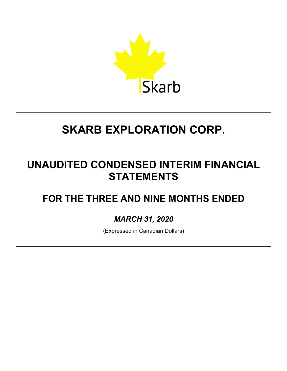

## **UNAUDITED CONDENSED INTERIM FINANCIAL STATEMENTS**

## **FOR THE THREE AND NINE MONTHS ENDED**

## *MARCH 31, 2020*

(Expressed in Canadian Dollars)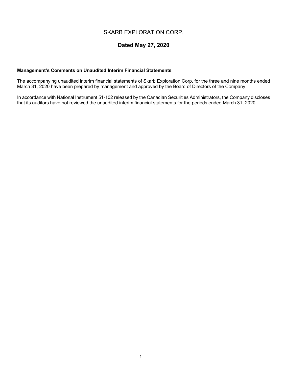## **Dated May 27, 2020**

#### **Management's Comments on Unaudited Interim Financial Statements**

The accompanying unaudited interim financial statements of Skarb Exploration Corp. for the three and nine months ended March 31, 2020 have been prepared by management and approved by the Board of Directors of the Company.

In accordance with National Instrument 51-102 released by the Canadian Securities Administrators, the Company discloses that its auditors have not reviewed the unaudited interim financial statements for the periods ended March 31, 2020.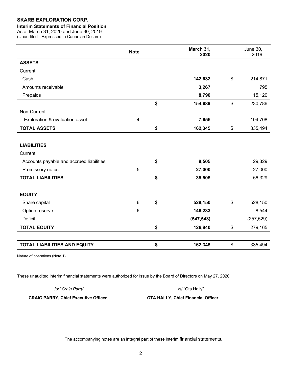#### **Interim Statements of Financial Position**

As at March 31, 2020 and June 30, 2019 (Unaudited - Expressed in Canadian Dollars)

|                                          | <b>Note</b>    | March 31,<br>2020 |                           | June 30,<br>2019 |
|------------------------------------------|----------------|-------------------|---------------------------|------------------|
| <b>ASSETS</b>                            |                |                   |                           |                  |
| Current                                  |                |                   |                           |                  |
| Cash                                     |                | 142,632           | $\boldsymbol{\mathsf{S}}$ | 214,871          |
| Amounts receivable                       |                | 3,267             |                           | 795              |
| Prepaids                                 |                | 8,790             |                           | 15,120           |
|                                          |                | \$<br>154,689     | $\boldsymbol{\mathsf{S}}$ | 230,786          |
| Non-Current                              |                |                   |                           |                  |
| Exploration & evaluation asset           | $\overline{4}$ | 7,656             |                           | 104,708          |
| <b>TOTAL ASSETS</b>                      |                | \$<br>162,345     | \$                        | 335,494          |
|                                          |                |                   |                           |                  |
| <b>LIABILITIES</b>                       |                |                   |                           |                  |
| Current                                  |                |                   |                           |                  |
| Accounts payable and accrued liabilities |                | \$<br>8,505       |                           | 29,329           |
| Promissory notes                         | 5              | 27,000            |                           | 27,000           |
| <b>TOTAL LIABILITIES</b>                 |                | \$<br>35,505      |                           | 56,329           |
|                                          |                |                   |                           |                  |
| <b>EQUITY</b>                            |                |                   |                           |                  |
| Share capital                            | $6\phantom{1}$ | \$<br>528,150     | \$                        | 528,150          |
| Option reserve                           | 6              | 146,233           |                           | 8,544            |
| <b>Deficit</b>                           |                | (547, 543)        |                           | (257, 529)       |
| <b>TOTAL EQUITY</b>                      |                | \$<br>126,840     | \$                        | 279,165          |
|                                          |                |                   |                           |                  |
| <b>TOTAL LIABILITIES AND EQUITY</b>      |                | \$<br>162,345     | \$                        | 335,494          |

Nature of operations (Note 1)

These unaudited interim financial statements were authorized for issue by the Board of Directors on May 27, 2020

/s/ "*Craig Parry*" /s/ "Ota Hally"

**CRAIG PARRY, Chief Executive Officer OTA HALLY, Chief Financial Officer**

The accompanying notes are an integral part of these interim financial statements.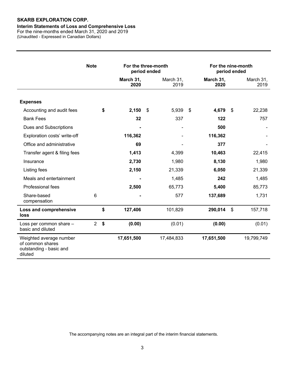#### **Interim Statements of Loss and Comprehensive Loss**

For the nine-months ended March 31, 2020 and 2019 (Unaudited - Expressed in Canadian Dollars)

|                                                                                   | <b>Note</b>    |    | For the three-month<br>period ended |                   |      | For the nine-month<br>period ended |                |                   |
|-----------------------------------------------------------------------------------|----------------|----|-------------------------------------|-------------------|------|------------------------------------|----------------|-------------------|
|                                                                                   |                |    | March 31,<br>2020                   | March 31,<br>2019 |      | March 31,<br>2020                  |                | March 31,<br>2019 |
| <b>Expenses</b>                                                                   |                |    |                                     |                   |      |                                    |                |                   |
| Accounting and audit fees                                                         |                | S  | 2,150                               | \$<br>5,939       | - \$ | 4,679                              | - \$           | 22,238            |
| <b>Bank Fees</b>                                                                  |                |    | 32                                  | 337               |      | 122                                |                | 757               |
| Dues and Subscriptions                                                            |                |    |                                     |                   |      | 500                                |                |                   |
| Exploration costs' write-off                                                      |                |    | 116,362                             |                   |      | 116,362                            |                |                   |
| Office and administrative                                                         |                |    | 69                                  |                   |      | 377                                |                |                   |
| Transfer agent & filing fees                                                      |                |    | 1,413                               | 4,399             |      | 10,463                             |                | 22,415            |
| Insurance                                                                         |                |    | 2,730                               | 1,980             |      | 8,130                              |                | 1,980             |
| Listing fees                                                                      |                |    | 2,150                               | 21,339            |      | 6,050                              |                | 21,339            |
| Meals and entertainment                                                           |                |    |                                     | 1,485             |      | 242                                |                | 1,485             |
| Professional fees                                                                 |                |    | 2,500                               | 65,773            |      | 5,400                              |                | 85,773            |
| Share-based<br>compensation                                                       | 6              |    |                                     | 577               |      | 137,689                            |                | 1,731             |
| Loss and comprehensive<br>loss                                                    |                | \$ | 127,406                             | 101,829           |      | 290,014                            | $\mathfrak{L}$ | 157,718           |
| Loss per common share -<br>basic and diluted                                      | $\overline{2}$ | \$ | (0.00)                              | (0.01)            |      | (0.00)                             |                | (0.01)            |
| Weighted average number<br>of common shares<br>outstanding - basic and<br>diluted |                |    | 17,651,500                          | 17,484,833        |      | 17,651,500                         |                | 19,799,749        |

The accompanying notes are an integral part of the interim financial statements.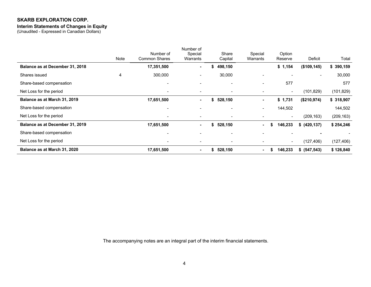#### **Interim Statements of Changes in Equity**

(Unaudited - Expressed in Canadian Dollars)

|                                 | Note | Number of<br><b>Common Shares</b> | Number of<br>Special<br>Warrants |    | Share<br>Capital         | Special<br>Warrants | Option<br>Reserve        | Deficit       | Total      |
|---------------------------------|------|-----------------------------------|----------------------------------|----|--------------------------|---------------------|--------------------------|---------------|------------|
| Balance as at December 31, 2018 |      | 17,351,500                        | ۰.                               | S. | 498,150                  |                     | \$1,154                  | (\$109, 145)  | \$390,159  |
| Shares issued                   | 4    | 300,000                           | -                                |    | 30,000                   |                     | $\blacksquare$           | $\sim$        | 30,000     |
| Share-based compensation        |      | $\overline{\phantom{a}}$          |                                  |    |                          |                     | 577                      |               | 577        |
| Net Loss for the period         |      | $\overline{\phantom{a}}$          | $\blacksquare$                   |    |                          |                     | $\overline{\phantom{a}}$ | (101, 829)    | (101, 829) |
| Balance as at March 31, 2019    |      | 17,651,500                        | ۰.                               | \$ | 528,150                  | ۰                   | \$1,731                  | (\$210,974)   | \$ 318,907 |
| Share-based compensation        |      | $\overline{\phantom{0}}$          | $\overline{\phantom{0}}$         |    |                          | -                   | 144,502                  |               | 144,502    |
| Net Loss for the period         |      | -                                 | -                                |    | $\overline{\phantom{a}}$ | -                   | $\overline{\phantom{a}}$ | (209, 163)    | (209, 163) |
| Balance as at December 31, 2019 |      | 17,651,500                        | $\blacksquare$                   | \$ | 528,150                  | $\blacksquare$      | 146,233<br>S             | \$ (420, 137) | \$254,246  |
| Share-based compensation        |      | $\overline{\phantom{0}}$          | $\overline{\phantom{0}}$         |    | $\blacksquare$           |                     | $\overline{\phantom{0}}$ |               |            |
| Net Loss for the period         |      |                                   |                                  |    |                          |                     | $\overline{\phantom{a}}$ | (127, 406)    | (127, 406) |
| Balance as at March 31, 2020    |      | 17,651,500                        | ۰                                | S. | 528,150                  | $\blacksquare$      | 146,233<br>Я             | \$ (547, 543) | \$126,840  |

The accompanying notes are an integral part of the interim financial statements.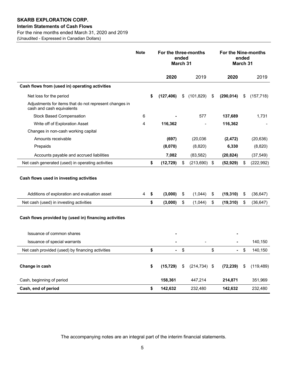#### **Interim Statements of Cash Flows**

For the nine months ended March 31, 2020 and 2019

(Unaudited - Expressed in Canadian Dollars)

|                                                                                                                    | <b>Note</b> | For the three-months<br>ended<br>March 31 |    | For the Nine-months<br>ended<br><b>March 31</b> |                           |            |    |            |
|--------------------------------------------------------------------------------------------------------------------|-------------|-------------------------------------------|----|-------------------------------------------------|---------------------------|------------|----|------------|
|                                                                                                                    |             | 2020                                      |    | 2019                                            |                           | 2020       |    | 2019       |
| Cash flows from (used in) operating activities                                                                     |             |                                           |    |                                                 |                           |            |    |            |
| Net loss for the period                                                                                            |             | \$<br>(127, 406)                          | \$ | (101, 829)                                      | S                         | (290, 014) | \$ | (157, 718) |
| Adjustments for items that do not represent changes in<br>cash and cash equivalents                                |             |                                           |    |                                                 |                           |            |    |            |
| <b>Stock Based Compensation</b>                                                                                    | 6           |                                           |    | 577                                             |                           | 137,689    |    | 1,731      |
| Write off of Exploration Asset                                                                                     | 4           | 116,362                                   |    |                                                 |                           | 116,362    |    |            |
| Changes in non-cash working capital                                                                                |             |                                           |    |                                                 |                           |            |    |            |
| Amounts receivable                                                                                                 |             | (697)                                     |    | (20,036)                                        |                           | (2, 472)   |    | (20, 636)  |
| Prepaids                                                                                                           |             | (8,070)                                   |    | (8,820)                                         |                           | 6,330      |    | (8,820)    |
| Accounts payable and accrued liabilities                                                                           |             | 7,082                                     |    | (83, 582)                                       |                           | (20, 824)  |    | (37, 549)  |
| Net cash generated (used) in operating activities                                                                  |             | \$<br>(12, 729)                           | \$ | (213, 690)                                      | $\boldsymbol{\mathsf{S}}$ | (52, 929)  | \$ | (222, 992) |
| Cash flows used in investing activities<br>Additions of exploration and evaluation asset                           | 4           | \$<br>(3,000)                             | \$ | (1,044)                                         | \$                        | (19, 310)  | \$ | (36, 647)  |
| Net cash (used) in investing activities                                                                            |             | \$<br>(3,000)                             | \$ | (1,044)                                         | \$                        | (19, 310)  | \$ | (36, 647)  |
| Cash flows provided by (used in) financing activities<br>Issuance of common shares<br>Issuance of special warrants |             |                                           |    |                                                 |                           |            |    | 140,150    |
| Net cash provided (used) by financing activities                                                                   |             | \$<br>$\blacksquare$                      | \$ |                                                 | \$                        |            | \$ | 140,150    |
| Change in cash                                                                                                     |             | \$<br>(15, 729)                           | \$ | $(214, 734)$ \$                                 |                           | (72, 239)  | \$ | (119, 489) |
| Cash, beginning of period                                                                                          |             | 158,361                                   |    | 447,214                                         |                           | 214,871    |    | 351,969    |
| Cash, end of period                                                                                                |             | \$<br>142,632                             |    | 232,480                                         |                           | 142,632    |    | 232,480    |

The accompanying notes are an integral part of the interim financial statements.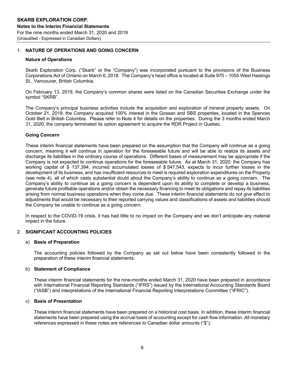#### 1. **NATURE OF OPERATIONS AND GOING CONCERN**

#### **Nature of Operations**

Skarb Exploration Corp. ("Skarb" or the "Company") was incorporated pursuant to the provisions of the Business Corporations Act of Ontario on March 6, 2018. The Company's head office is located at Suite 970 – 1055 West Hastings St., Vancouver, British Columbia.

On February 13, 2019, the Company's common shares were listed on the Canadian Securities Exchange under the symbol "SKRB".

The Company's principal business activities include the acquisition and exploration of mineral property assets. On October 21, 2019, the Company acquired 100% interest in the Gossan and SBS properties, located in the Spences Gold Belt in British Columbia. Please refer to Note 4 for details on the properties. During the 3 months ended March 31, 2020, the company terminated its option agreement to acquire the RDR Project in Quebec.

#### **Going Concern**

These interim financial statements have been prepared on the assumption that the Company will continue as a going concern, meaning it will continue in operation for the foreseeable future and will be able to realize its assets and discharge its liabilities in the ordinary course of operations. Different bases of measurement may be appropriate if the Company is not expected to continue operations for the foreseeable future. As at March 31, 2020, the Company has working capital of \$ 137,394, incurred accumulated losses of \$ 547,543, expects to incur further losses in the development of its business, and has insufficient resources to meet is required exploration expenditures on the Property (see note 4), all of which casts substantial doubt about the Company's ability to continue as a going concern. The Company's ability to continue as a going concern is dependent upon its ability to complete or develop a business, generate future profitable operations and/or obtain the necessary financing to meet its obligations and repay its liabilities arising from normal business operations when they come due. These interim financial statements do not give effect to adjustments that would be necessary to their reported carrying values and classifications of assets and liabilities should the Company be unable to continue as a going concern.

In respect to the COVID-19 crisis, it has had little to no impact on the Company and we don't anticipate any material impact in the future.

#### 2. **SIGNIFICANT ACCOUNTING POLICIES**

#### a) **Basis of Preparation**

The accounting policies followed by the Company as set out below have been consistently followed in the preparation of these interim financial statements.

#### b) **Statement of Compliance**

These interim financial statements for the nine-months ended March 31, 2020 have been prepared in accordance with International Financial Reporting Standards ("IFRS") issued by the International Accounting Standards Board ("IASB") and interpretations of the International Financial Reporting Interpretations Committee ("IFRIC").

#### c) **Basis of Presentation**

These interim financial statements have been prepared on a historical cost basis. In addition, these interim financial statements have been prepared using the accrual basis of accounting except for cash flow information. All monetary references expressed in these notes are references to Canadian dollar amounts ("\$").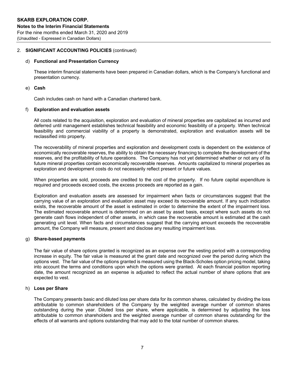#### 2. **SIGNIFICANT ACCOUNTING POLICIES** (continued)

#### d) **Functional and Presentation Currency**

These interim financial statements have been prepared in Canadian dollars, which is the Company's functional and presentation currency.

#### e) **Cash**

Cash includes cash on hand with a Canadian chartered bank.

#### f) **Exploration and evaluation assets**

All costs related to the acquisition, exploration and evaluation of mineral properties are capitalized as incurred and deferred until management establishes technical feasibility and economic feasibility of a property. When technical feasibility and commercial viability of a property is demonstrated, exploration and evaluation assets will be reclassified into property.

The recoverability of mineral properties and exploration and development costs is dependent on the existence of economically recoverable reserves, the ability to obtain the necessary financing to complete the development of the reserves, and the profitability of future operations. The Company has not yet determined whether or not any of its future mineral properties contain economically recoverable reserves. Amounts capitalized to mineral properties as exploration and development costs do not necessarily reflect present or future values.

When properties are sold, proceeds are credited to the cost of the property. If no future capital expenditure is required and proceeds exceed costs, the excess proceeds are reported as a gain.

Exploration and evaluation assets are assessed for impairment when facts or circumstances suggest that the carrying value of an exploration and evaluation asset may exceed its recoverable amount. If any such indication exists, the recoverable amount of the asset is estimated in order to determine the extent of the impairment loss. The estimated recoverable amount is determined on an asset by asset basis, except where such assets do not generate cash flows independent of other assets, in which case the recoverable amount is estimated at the cash generating unit level. When facts and circumstances suggest that the carrying amount exceeds the recoverable amount, the Company will measure, present and disclose any resulting impairment loss.

#### g) **Share-based payments**

The fair value of share options granted is recognized as an expense over the vesting period with a corresponding increase in equity. The fair value is measured at the grant date and recognized over the period during which the options vest. The fair value of the options granted is measured using the Black-Scholes option pricing model, taking into account the terms and conditions upon which the options were granted. At each financial position reporting date, the amount recognized as an expense is adjusted to reflect the actual number of share options that are expected to vest.

#### h) **Loss per Share**

The Company presents basic and diluted loss per share data for its common shares, calculated by dividing the loss attributable to common shareholders of the Company by the weighted average number of common shares outstanding during the year. Diluted loss per share, where applicable, is determined by adjusting the loss attributable to common shareholders and the weighted average number of common shares outstanding for the effects of all warrants and options outstanding that may add to the total number of common shares.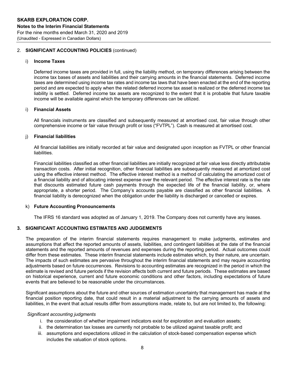#### 2. **SIGNIFICANT ACCOUNTING POLICIES** (continued)

#### i) **Income Taxes**

Deferred income taxes are provided in full, using the liability method, on temporary differences arising between the income tax bases of assets and liabilities and their carrying amounts in the financial statements. Deferred income taxes are determined using income tax rates and income tax laws that have been enacted at the end of the reporting period and are expected to apply when the related deferred income tax asset is realized or the deferred income tax liability is settled. Deferred income tax assets are recognized to the extent that it is probable that future taxable income will be available against which the temporary differences can be utilized.

#### i) **Financial Assets**

All financials instruments are classified and subsequently measured at amortised cost, fair value through other comprehensive income or fair value through profit or loss ("FVTPL"). Cash is measured at amortised cost.

#### j) **Financial liabilities**

All financial liabilities are initially recorded at fair value and designated upon inception as FVTPL or other financial liabilities.

Financial liabilities classified as other financial liabilities are initially recognized at fair value less directly attributable transaction costs. After initial recognition, other financial liabilities are subsequently measured at amortized cost using the effective interest method. The effective interest method is a method of calculating the amortized cost of a financial liability and of allocating interest expense over the relevant period. The effective interest rate is the rate that discounts estimated future cash payments through the expected life of the financial liability, or, where appropriate, a shorter period. The Company's accounts payable are classified as other financial liabilities. A financial liability is derecognized when the obligation under the liability is discharged or cancelled or expires.

#### k) **Future Accounting Pronouncements**

The IFRS 16 standard was adopted as of January 1, 2019. The Company does not currently have any leases.

### **3. SIGNIFICANT ACCOUNTING ESTIMATES AND JUDGEMENTS**

The preparation of the interim financial statements requires management to make judgments, estimates and assumptions that affect the reported amounts of assets, liabilities, and contingent liabilities at the date of the financial statements and the reported amounts of revenues and expenses during the reporting period. Actual outcomes could differ from these estimates. These interim financial statements include estimates which, by their nature, are uncertain. The impacts of such estimates are pervasive throughout the interim financial statements and may require accounting adjustments based on future occurrences. Revisions to accounting estimates are recognized in the period in which the estimate is revised and future periods if the revision affects both current and future periods. These estimates are based on historical experience, current and future economic conditions and other factors, including expectations of future events that are believed to be reasonable under the circumstances.

Significant assumptions about the future and other sources of estimation uncertainty that management has made at the financial position reporting date, that could result in a material adjustment to the carrying amounts of assets and liabilities, in the event that actual results differ from assumptions made, relate to, but are not limited to, the following:

#### *Significant accounting judgments*

- i. the consideration of whether impairment indicators exist for exploration and evaluation assets;
- ii. the determination tax losses are currently not probable to be utilized against taxable profit; and
- iii. assumptions and expectations utilized in the calculation of stock-based compensation expense which includes the valuation of stock options.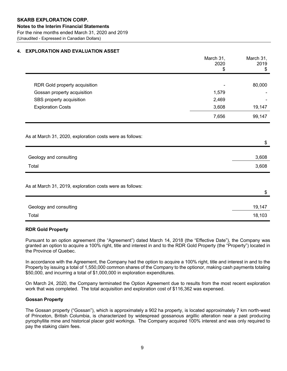#### **4. EXPLORATION AND EVALUATION ASSET**

|                                                          | March 31,<br>2020<br>S | March 31,<br>2019<br>\$ |
|----------------------------------------------------------|------------------------|-------------------------|
|                                                          |                        |                         |
| RDR Gold property acquisition                            |                        | 80,000                  |
| Gossan property acquisition                              | 1,579                  |                         |
| SBS property acquisition                                 | 2,469                  |                         |
| <b>Exploration Costs</b>                                 | 3,608                  | 19,147                  |
|                                                          | 7,656                  | 99,147                  |
| As at March 31, 2020, exploration costs were as follows: |                        | \$                      |
| Geology and consulting                                   |                        | 3,608                   |
| Total                                                    |                        | 3,608                   |
| As at March 31, 2019, exploration costs were as follows: |                        | \$                      |
| Geology and consulting                                   |                        | 19,147                  |
| Total                                                    |                        |                         |
|                                                          |                        | 18,103                  |

#### **RDR Gold Property**

Pursuant to an option agreement (the "Agreement") dated March 14, 2018 (the "Effective Date"), the Company was granted an option to acquire a 100% right, title and interest in and to the RDR Gold Property (the "Property") located in the Province of Quebec.

In accordance with the Agreement, the Company had the option to acquire a 100% right, title and interest in and to the Property by issuing a total of 1,550,000 common shares of the Company to the optionor, making cash payments totaling \$50,000, and incurring a total of \$1,000,000 in exploration expenditures.

On March 24, 2020, the Company terminated the Option Agreement due to results from the most recent exploration work that was completed. The total acquisition and exploration cost of \$116,362 was expensed.

#### **Gossan Property**

The Gossan property ("Gossan"), which is approximately a 902 ha property, is located approximately 7 km north-west of Princeton, British Columbia, is characterized by widespread gossanous argillic alteration near a past producing pyrophyllite mine and historical placer gold workings. The Company acquired 100% interest and was only required to pay the staking claim fees.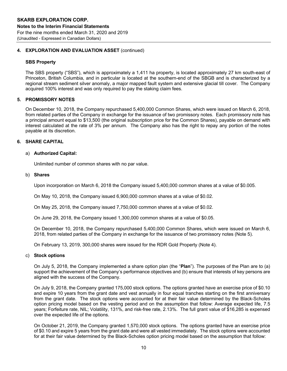#### **4. EXPLORATION AND EVALUATION ASSET** (continued)

#### **SBS Property**

The SBS property ("SBS"), which is approximately a 1,411 ha property, is located approximately 27 km south-east of Princeton, British Columbia, and in particular is located at the southern-end of the SBGB and is characterized by a regional stream sediment silver anomaly, a major mapped fault system and extensive glacial till cover. The Company acquired 100% interest and was only required to pay the staking claim fees.

#### **5. PROMISSORY NOTES**

On December 10, 2018, the Company repurchased 5,400,000 Common Shares, which were issued on March 6, 2018, from related parties of the Company in exchange for the issuance of two promissory notes. Each promissory note has a principal amount equal to \$13,500 (the original subscription price for the Common Shares), payable on demand with interest calculated at the rate of 3% per annum. The Company also has the right to repay any portion of the notes payable at its discretion.

#### **6. SHARE CAPITAL**

#### a) **Authorized Capital:**

Unlimited number of common shares with no par value.

#### b) **Shares**

Upon incorporation on March 6, 2018 the Company issued 5,400,000 common shares at a value of \$0.005.

On May 10, 2018, the Company issued 6,900,000 common shares at a value of \$0.02.

On May 25, 2018, the Company issued 7,750,000 common shares at a value of \$0.02.

On June 29, 2018, the Company issued 1,300,000 common shares at a value of \$0.05.

On December 10, 2018, the Company repurchased 5,400,000 Common Shares, which were issued on March 6, 2018, from related parties of the Company in exchange for the issuance of two promissory notes (Note 5).

On February 13, 2019, 300,000 shares were issued for the RDR Gold Property (Note 4).

#### c) **Stock options**

On July 5, 2018, the Company implemented a share option plan (the "**Plan**"). The purposes of the Plan are to (a) support the achievement of the Company's performance objectives and (b) ensure that interests of key persons are aligned with the success of the Company.

On July 9, 2018, the Company granted 175,000 stock options. The options granted have an exercise price of \$0.10 and expire 10 years from the grant date and vest annually in four equal tranches starting on the first anniversary from the grant date. The stock options were accounted for at their fair value determined by the Black-Scholes option pricing model based on the vesting period and on the assumption that follow: Average expected life, 7.5 years; Forfeiture rate, NIL; Volatility, 131%, and risk-free rate, 2.13%. The full grant value of \$16,285 is expensed over the expected life of the options.

On October 21, 2019, the Company granted 1,570,000 stock options. The options granted have an exercise price of \$0.10 and expire 5 years from the grant date and were all vested immediately. The stock options were accounted for at their fair value determined by the Black-Scholes option pricing model based on the assumption that follow: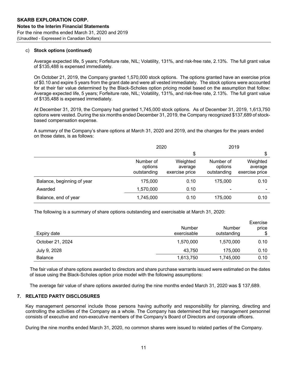#### c) **Stock options (continued)**

Average expected life, 5 years; Forfeiture rate, NIL; Volatility, 131%, and risk-free rate, 2.13%. The full grant value of \$135,488 is expensed immediately.

On October 21, 2019, the Company granted 1,570,000 stock options. The options granted have an exercise price of \$0.10 and expire 5 years from the grant date and were all vested immediately. The stock options were accounted for at their fair value determined by the Black-Scholes option pricing model based on the assumption that follow: Average expected life, 5 years; Forfeiture rate, NIL; Volatility, 131%, and risk-free rate, 2.13%. The full grant value of \$135,488 is expensed immediately.

At December 31, 2019, the Company had granted 1,745,000 stock options. As of December 31, 2019, 1,613,750 options were vested. During the six months ended December 31, 2019, the Company recognized \$137,689 of stockbased compensation expense.

A summary of the Company's share options at March 31, 2020 and 2019, and the changes for the years ended on those dates, is as follows:

|                            |                                     | 2020                                  |                                     | 2019                                  |  |  |  |
|----------------------------|-------------------------------------|---------------------------------------|-------------------------------------|---------------------------------------|--|--|--|
|                            |                                     | \$                                    |                                     |                                       |  |  |  |
|                            | Number of<br>options<br>outstanding | Weighted<br>average<br>exercise price | Number of<br>options<br>outstanding | Weighted<br>average<br>exercise price |  |  |  |
| Balance, beginning of year | 175,000                             | 0.10                                  | 175,000                             | 0.10                                  |  |  |  |
| Awarded                    | 1,570,000                           | 0.10                                  | $\qquad \qquad$                     | $\,$                                  |  |  |  |
| Balance, end of year       | 1,745,000                           | 0.10                                  | 175,000                             | 0.10                                  |  |  |  |

The following is a summary of share options outstanding and exercisable at March 31, 2020:

| Expiry date      | Number<br>exercisable | Number<br>outstanding | Exercise<br>price<br>S |
|------------------|-----------------------|-----------------------|------------------------|
| October 21, 2024 | 1,570,000             | 1,570,000             | 0.10                   |
| July 9, 2028     | 43,750                | 175,000               | 0.10                   |
| <b>Balance</b>   | 1,613,750             | 1,745,000             | 0.10                   |

The fair value of share options awarded to directors and share purchase warrants issued were estimated on the dates of issue using the Black-Scholes option price model with the following assumptions:

The average fair value of share options awarded during the nine months ended March 31, 2020 was \$ 137,689.

#### **7. RELATED PARTY DISCLOSURES**

Key management personnel include those persons having authority and responsibility for planning, directing and controlling the activities of the Company as a whole. The Company has determined that key management personnel consists of executive and non-executive members of the Company's Board of Directors and corporate officers.

During the nine months ended March 31, 2020, no common shares were issued to related parties of the Company.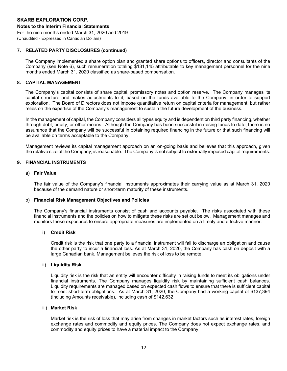#### **7. RELATED PARTY DISCLOSURES (continued)**

The Company implemented a share option plan and granted share options to officers, director and consultants of the Company (see Note 6), such remuneration totaling \$131,145 attributable to key management personnel for the nine months ended March 31, 2020 classified as share-based compensation.

#### **8. CAPITAL MANAGEMENT**

The Company's capital consists of share capital, promissory notes and option reserve. The Company manages its capital structure and makes adjustments to it, based on the funds available to the Company, in order to support exploration. The Board of Directors does not impose quantitative return on capital criteria for management, but rather relies on the expertise of the Company's management to sustain the future development of the business.

In the management of capital, the Company considers all types equity and is dependent on third party financing, whether through debt, equity, or other means. Although the Company has been successful in raising funds to date, there is no assurance that the Company will be successful in obtaining required financing in the future or that such financing will be available on terms acceptable to the Company.

Management reviews its capital management approach on an on-going basis and believes that this approach, given the relative size of the Company, is reasonable. The Company is not subject to externally imposed capital requirements.

#### **9. FINANCIAL INSTRUMENTS**

#### a) **Fair Value**

The fair value of the Company's financial instruments approximates their carrying value as at March 31, 2020 because of the demand nature or short-term maturity of these instruments.

#### b) **Financial Risk Management Objectives and Policies**

The Company's financial instruments consist of cash and accounts payable. The risks associated with these financial instruments and the policies on how to mitigate these risks are set out below. Management manages and monitors these exposures to ensure appropriate measures are implemented on a timely and effective manner.

#### i) **Credit Risk**

Credit risk is the risk that one party to a financial instrument will fail to discharge an obligation and cause the other party to incur a financial loss. As at March 31, 2020, the Company has cash on deposit with a large Canadian bank. Management believes the risk of loss to be remote.

#### ii) **Liquidity Risk**

Liquidity risk is the risk that an entity will encounter difficulty in raising funds to meet its obligations under financial instruments. The Company manages liquidity risk by maintaining sufficient cash balances. Liquidity requirements are managed based on expected cash flows to ensure that there is sufficient capital to meet short-term obligations. As at March 31, 2020, the Company had a working capital of \$137,394 (including Amounts receivable), including cash of \$142,632.

#### iii) **Market Risk**

Market risk is the risk of loss that may arise from changes in market factors such as interest rates, foreign exchange rates and commodity and equity prices. The Company does not expect exchange rates, and commodity and equity prices to have a material impact to the Company.